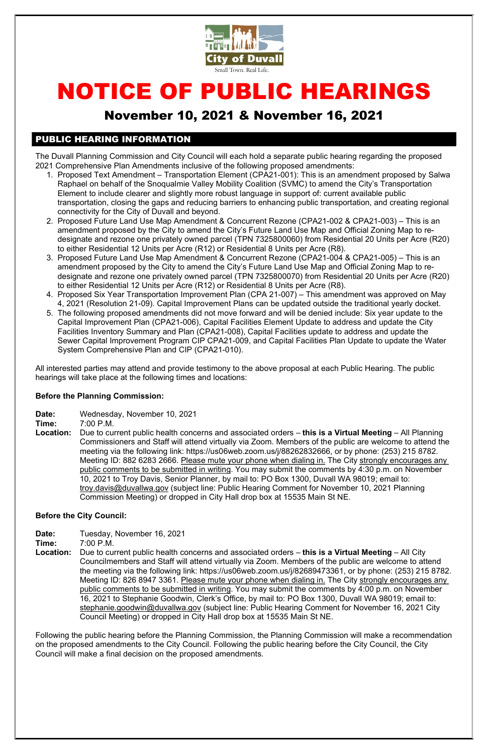

# NOTICE OF PUBLIC HEARINGS

# November 10, 2021 & November 16, 2021

## PUBLIC HEARING INFORMATION

The Duvall Planning Commission and City Council will each hold a separate public hearing regarding the proposed 2021 Comprehensive Plan Amendments inclusive of the following proposed amendments:

- 1. Proposed Text Amendment Transportation Element (CPA21-001): This is an amendment proposed by Salwa Raphael on behalf of the Snoqualmie Valley Mobility Coalition (SVMC) to amend the City's Transportation Element to include clearer and slightly more robust language in support of: current available public transportation, closing the gaps and reducing barriers to enhancing public transportation, and creating regional connectivity for the City of Duvall and beyond.
- 2. Proposed Future Land Use Map Amendment & Concurrent Rezone (CPA21-002 & CPA21-003) This is an amendment proposed by the City to amend the City's Future Land Use Map and Official Zoning Map to redesignate and rezone one privately owned parcel (TPN 7325800060) from Residential 20 Units per Acre (R20) to either Residential 12 Units per Acre (R12) or Residential 8 Units per Acre (R8).
- 3. Proposed Future Land Use Map Amendment & Concurrent Rezone (CPA21-004 & CPA21-005) This is an amendment proposed by the City to amend the City's Future Land Use Map and Official Zoning Map to redesignate and rezone one privately owned parcel (TPN 7325800070) from Residential 20 Units per Acre (R20) to either Residential 12 Units per Acre (R12) or Residential 8 Units per Acre (R8).
- 4. Proposed Six Year Transportation Improvement Plan (CPA 21-007) This amendment was approved on May 4, 2021 (Resolution 21-09). Capital Improvement Plans can be updated outside the traditional yearly docket.
- 5. The following proposed amendments did not move forward and will be denied include: Six year update to the Capital Improvement Plan (CPA21-006), Capital Facilities Element Update to address and update the City Facilities Inventory Summary and Plan (CPA21-008), Capital Facilities update to address and update the Sewer Capital Improvement Program CIP CPA21-009, and Capital Facilities Plan Update to update the Water System Comprehensive Plan and CIP (CPA21-010).

- Date: Wednesday, November 10, 2021
- Time: 7:00 P.M.
- Location: Due to current public health concerns and associated orders this is a Virtual Meeting All Planning Commissioners and Staff will attend virtually via Zoom. Members of the public are welcome to attend the meeting via the following link: https://us06web.zoom.us/j/88262832666, or by phone: (253) 215 8782. Meeting ID: 882 6283 2666. Please mute your phone when dialing in. The City strongly encourages any public comments to be submitted in writing. You may submit the comments by 4:30 p.m. on November 10, 2021 to Troy Davis, Senior Planner, by mail to: PO Box 1300, Duvall WA 98019; email to: troy.davis@duvallwa.gov (subject line: Public Hearing Comment for November 10, 2021 Planning Commission Meeting) or dropped in City Hall drop box at 15535 Main St NE.

All interested parties may attend and provide testimony to the above proposal at each Public Hearing. The public hearings will take place at the following times and locations:

#### Before the Planning Commission:

#### Before the City Council:

Date: Tuesday, November 16, 2021

- Time: 7:00 P.M.
- Location: Due to current public health concerns and associated orders this is a Virtual Meeting All City Councilmembers and Staff will attend virtually via Zoom. Members of the public are welcome to attend the meeting via the following link: https://us06web.zoom.us/j/82689473361, or by phone: (253) 215 8782. Meeting ID: 826 8947 3361. Please mute your phone when dialing in. The City strongly encourages any public comments to be submitted in writing. You may submit the comments by 4:00 p.m. on November 16, 2021 to Stephanie Goodwin, Clerk's Office, by mail to: PO Box 1300, Duvall WA 98019; email to: stephanie.goodwin@duvallwa.gov (subject line: Public Hearing Comment for November 16, 2021 City Council Meeting) or dropped in City Hall drop box at 15535 Main St NE.

Following the public hearing before the Planning Commission, the Planning Commission will make a recommendation on the proposed amendments to the City Council. Following the public hearing before the City Council, the City Council will make a final decision on the proposed amendments.